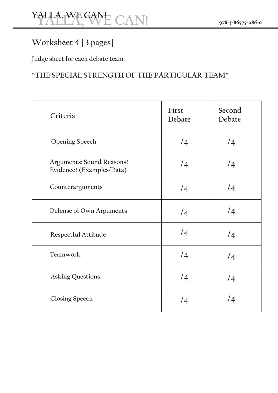## **Worksheet 4 [3 pages]**

Judge sheet for each debate team:

### **"THE SPECIAL STRENGTH OF THE PARTICULAR TEAM"**

| Criteria                                                      | First<br>Debate | Second<br>Debate |
|---------------------------------------------------------------|-----------------|------------------|
| <b>Opening Speech</b>                                         | $\sqrt{4}$      | $\sqrt{4}$       |
| <b>Arguments: Sound Reasons?</b><br>Evidence? (Examples/Data) | $\sqrt{4}$      | /4               |
| Counterarguments                                              | /4              | /4               |
| Defense of Own Arguments                                      | $\sqrt{4}$      | $\sqrt{4}$       |
| Respectful Attitude                                           | /4              | $\sqrt{4}$       |
| Teamwork                                                      | /4              | $\sqrt{4}$       |
| <b>Asking Questions</b>                                       | /4              | /4               |
| <b>Closing Speech</b>                                         | $\sqrt{4}$      | /4               |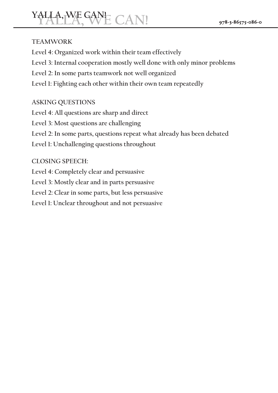# $YALLA, WE GAN E$  CAN!

#### **TEAMWORK**

Level 4: Organized work within their team effectively Level 3: Internal cooperation mostly well done with only minor problems Level 2: In some parts teamwork not well organized Level 1: Fighting each other within their own team repeatedly

#### **ASKING QUESTIONS**

Level 4: All questions are sharp and direct Level 3: Most questions are challenging Level 2: In some parts, questions repeat what already has been debated Level 1: Unchallenging questions throughout

#### CLOSING SPEECH:

Level 4: Completely clear and persuasive Level 3: Mostly clear and in parts persuasive Level 2: Clear in some parts, but less persuasive Level 1: Unclear throughout and not persuasive